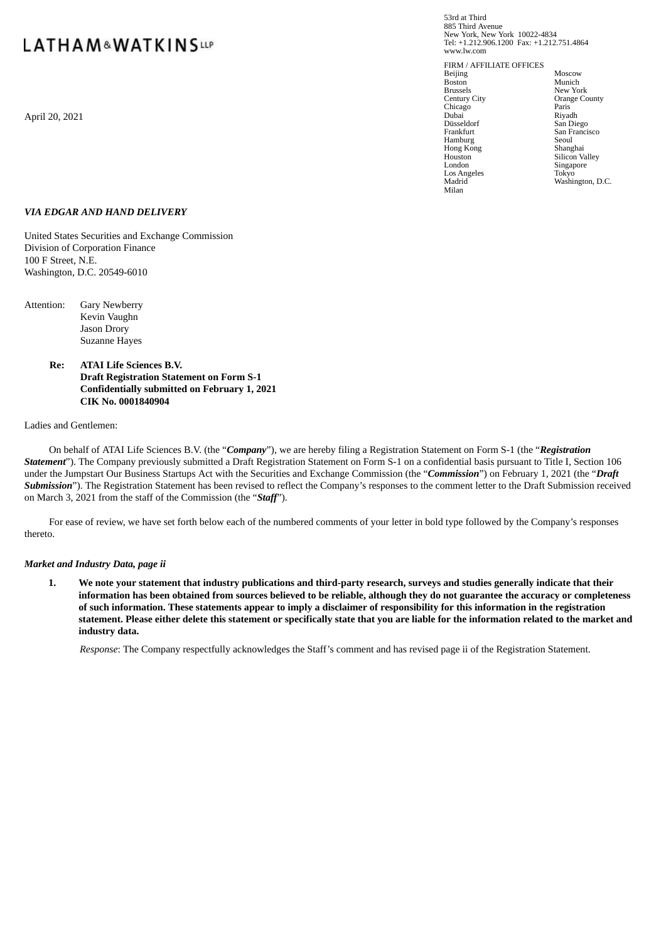# **LATHAM&WATKINSLLP**

April 20, 2021 **Dubai** Riyadh

53rd at Third 885 Third Avenue New York, New York 10022-4834 Tel: +1.212.906.1200 Fax: +1.212.751.4864 www.lw.com

FIRM / AFFILIATE OFFICES Beijing Moscow<br>Boston Munich Boston Munich Brussels<br>
Brussels<br>
Century City<br>
Crange Co Chicago Paris Paris<br>Dubai Riyadh Düsseldorf San Diego Hamburg Seoul Hong Kong Shanghai Los Angeles<br>Madrid Milan

Orange County<br>Paris San Francisco<br>Seoul<br>Shanghai Houston Silicon Valley<br>
London Singapore Singapore<br>Tokyo Washington, D.C.

## *VIA EDGAR AND HAND DELIVERY*

United States Securities and Exchange Commission Division of Corporation Finance 100 F Street, N.E. Washington, D.C. 20549-6010

- Attention: Gary Newberry Kevin Vaughn Jason Drory Suzanne Hayes
	- **Re: ATAI Life Sciences B.V. Draft Registration Statement on Form S-1 Confidentially submitted on February 1, 2021 CIK No. 0001840904**

#### Ladies and Gentlemen:

On behalf of ATAI Life Sciences B.V. (the "*Company*"), we are hereby filing a Registration Statement on Form S-1 (the "*Registration Statement*"). The Company previously submitted a Draft Registration Statement on Form S-1 on a confidential basis pursuant to Title I, Section 106 under the Jumpstart Our Business Startups Act with the Securities and Exchange Commission (the "*Commission*") on February 1, 2021 (the "*Draft Submission*"). The Registration Statement has been revised to reflect the Company's responses to the comment letter to the Draft Submission received on March 3, 2021 from the staff of the Commission (the "*Staff*").

For ease of review, we have set forth below each of the numbered comments of your letter in bold type followed by the Company's responses thereto.

#### *Market and Industry Data, page ii*

1. We note your statement that industry publications and third-party research, surveys and studies generally indicate that their information has been obtained from sources believed to be reliable, although they do not guarantee the accuracy or completeness of such information. These statements appear to imply a disclaimer of responsibility for this information in the registration statement. Please either delete this statement or specifically state that you are liable for the information related to the market and **industry data.**

*Response*: The Company respectfully acknowledges the Staff's comment and has revised page ii of the Registration Statement.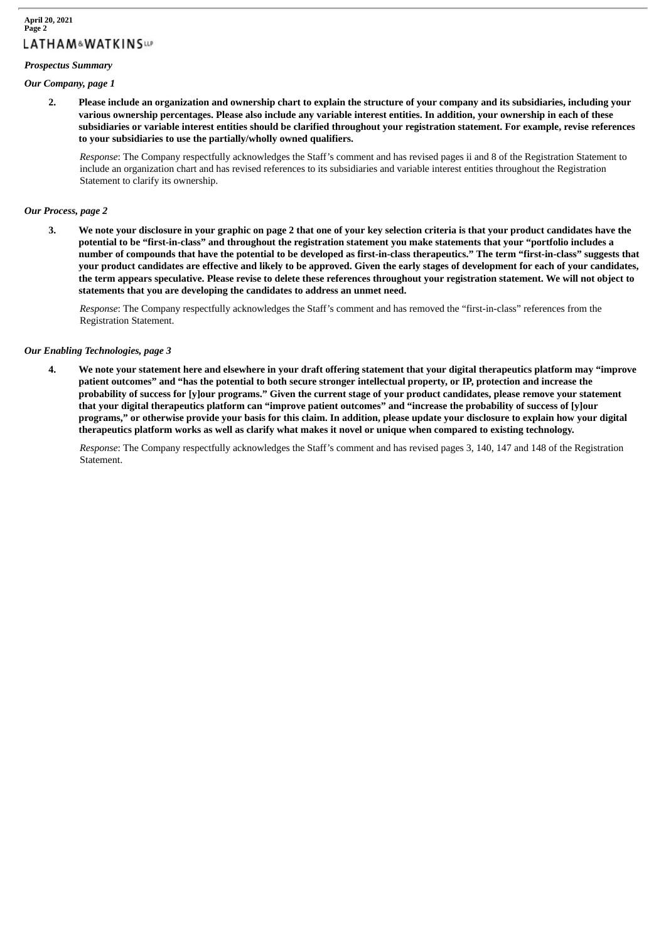#### *Prospectus Summary*

#### *Our Company, page 1*

2. Please include an organization and ownership chart to explain the structure of your company and its subsidiaries, including your various ownership percentages. Please also include any variable interest entities. In addition, your ownership in each of these subsidiaries or variable interest entities should be clarified throughout your registration statement. For example, revise references **to your subsidiaries to use the partially/wholly owned qualifiers.**

*Response*: The Company respectfully acknowledges the Staff's comment and has revised pages ii and 8 of the Registration Statement to include an organization chart and has revised references to its subsidiaries and variable interest entities throughout the Registration Statement to clarify its ownership.

#### *Our Process, page 2*

3. We note your disclosure in your graphic on page 2 that one of your key selection criteria is that your product candidates have the potential to be "first-in-class" and throughout the registration statement you make statements that your "portfolio includes a number of compounds that have the potential to be developed as first-in-class therapeutics." The term "first-in-class" suggests that your product candidates are effective and likely to be approved. Given the early stages of development for each of your candidates, the term appears speculative. Please revise to delete these references throughout your registration statement. We will not object to **statements that you are developing the candidates to address an unmet need.**

*Response*: The Company respectfully acknowledges the Staff's comment and has removed the "first-in-class" references from the Registration Statement.

#### *Our Enabling Technologies, page 3*

4. We note your statement here and elsewhere in your draft offering statement that your digital therapeutics platform may "improve patient outcomes" and "has the potential to both secure stronger intellectual property, or IP, protection and increase the probability of success for [y]our programs." Given the current stage of your product candidates, please remove your statement that vour digital therapeutics platform can "improve patient outcomes" and "increase the probability of success of [y]our programs," or otherwise provide your basis for this claim. In addition, please update your disclosure to explain how your digital therapeutics platform works as well as clarify what makes it novel or unique when compared to existing technology.

*Response*: The Company respectfully acknowledges the Staff's comment and has revised pages 3, 140, 147 and 148 of the Registration Statement.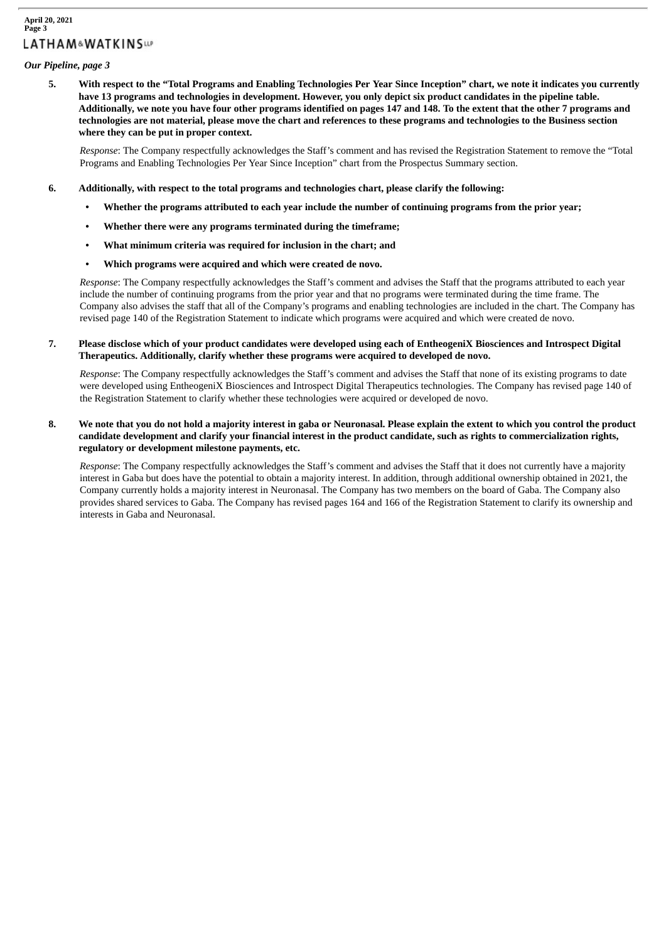# **April 20, 2021 Page 3 LATHAM&WATKINSLIP**

# *Our Pipeline, page 3*

5. With respect to the "Total Programs and Enabling Technologies Per Year Since Inception" chart, we note it indicates you currently have 13 programs and technologies in development. However, you only depict six product candidates in the pipeline table. Additionally, we note you have four other programs identified on pages 147 and 148. To the extent that the other 7 programs and technologies are not material, please move the chart and references to these programs and technologies to the Business section **where they can be put in proper context.**

*Response*: The Company respectfully acknowledges the Staff's comment and has revised the Registration Statement to remove the "Total Programs and Enabling Technologies Per Year Since Inception" chart from the Prospectus Summary section.

## **6. Additionally, with respect to the total programs and technologies chart, please clarify the following:**

- Whether the programs attributed to each year include the number of continuing programs from the prior year;
- **• Whether there were any programs terminated during the timeframe;**
- **• What minimum criteria was required for inclusion in the chart; and**
- **• Which programs were acquired and which were created de novo.**

*Response*: The Company respectfully acknowledges the Staff's comment and advises the Staff that the programs attributed to each year include the number of continuing programs from the prior year and that no programs were terminated during the time frame. The Company also advises the staff that all of the Company's programs and enabling technologies are included in the chart. The Company has revised page 140 of the Registration Statement to indicate which programs were acquired and which were created de novo.

## 7. Please disclose which of your product candidates were developed using each of EntheogeniX Biosciences and Introspect Digital **Therapeutics. Additionally, clarify whether these programs were acquired to developed de novo.**

*Response*: The Company respectfully acknowledges the Staff's comment and advises the Staff that none of its existing programs to date were developed using EntheogeniX Biosciences and Introspect Digital Therapeutics technologies. The Company has revised page 140 of the Registration Statement to clarify whether these technologies were acquired or developed de novo.

## 8. We note that you do not hold a majority interest in gaba or Neuronasal. Please explain the extent to which you control the product candidate development and clarify your financial interest in the product candidate, such as rights to commercialization rights, **regulatory or development milestone payments, etc.**

*Response*: The Company respectfully acknowledges the Staff's comment and advises the Staff that it does not currently have a majority interest in Gaba but does have the potential to obtain a majority interest. In addition, through additional ownership obtained in 2021, the Company currently holds a majority interest in Neuronasal. The Company has two members on the board of Gaba. The Company also provides shared services to Gaba. The Company has revised pages 164 and 166 of the Registration Statement to clarify its ownership and interests in Gaba and Neuronasal.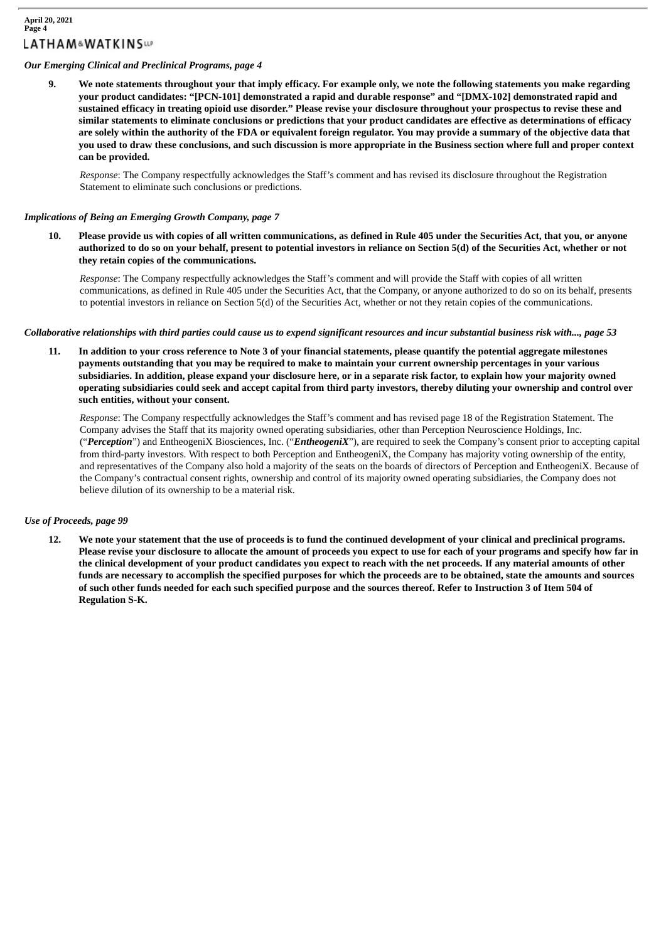# *Our Emerging Clinical and Preclinical Programs, page 4*

9. We note statements throughout your that imply efficacy. For example only, we note the following statements you make regarding **your product candidates: "[PCN-101] demonstrated a rapid and durable response" and "[DMX-102] demonstrated rapid and** sustained efficacy in treating opioid use disorder." Please revise your disclosure throughout your prospectus to revise these and similar statements to eliminate conclusions or predictions that your product candidates are effective as determinations of efficacy are solely within the authority of the FDA or equivalent foreign regulator. You may provide a summary of the objective data that you used to draw these conclusions, and such discussion is more appropriate in the Business section where full and proper context **can be provided.**

*Response*: The Company respectfully acknowledges the Staff's comment and has revised its disclosure throughout the Registration Statement to eliminate such conclusions or predictions.

#### *Implications of Being an Emerging Growth Company, page 7*

10. Please provide us with copies of all written communications, as defined in Rule 405 under the Securities Act, that you, or anyone authorized to do so on your behalf, present to potential investors in reliance on Section 5(d) of the Securities Act, whether or not **they retain copies of the communications.**

*Response*: The Company respectfully acknowledges the Staff's comment and will provide the Staff with copies of all written communications, as defined in Rule 405 under the Securities Act, that the Company, or anyone authorized to do so on its behalf, presents to potential investors in reliance on Section 5(d) of the Securities Act, whether or not they retain copies of the communications.

Collaborative relationships with third parties could cause us to expend significant resources and incur substantial business risk with..., page 53

11. In addition to your cross reference to Note 3 of your financial statements, please quantify the potential aggregate milestones payments outstanding that you may be required to make to maintain your current ownership percentages in your various subsidiaries. In addition, please expand your disclosure here, or in a separate risk factor, to explain how your majority owned operating subsidiaries could seek and accept capital from third party investors, thereby diluting your ownership and control over **such entities, without your consent.**

*Response*: The Company respectfully acknowledges the Staff's comment and has revised page 18 of the Registration Statement. The Company advises the Staff that its majority owned operating subsidiaries, other than Perception Neuroscience Holdings, Inc. ("*Perception*") and EntheogeniX Biosciences, Inc. ("*EntheogeniX*"), are required to seek the Company's consent prior to accepting capital from third-party investors. With respect to both Perception and EntheogeniX, the Company has majority voting ownership of the entity, and representatives of the Company also hold a majority of the seats on the boards of directors of Perception and EntheogeniX. Because of the Company's contractual consent rights, ownership and control of its majority owned operating subsidiaries, the Company does not believe dilution of its ownership to be a material risk.

#### *Use of Proceeds, page 99*

12. We note your statement that the use of proceeds is to fund the continued development of your clinical and preclinical programs. Please revise your disclosure to allocate the amount of proceeds you expect to use for each of your programs and specify how far in the clinical development of your product candidates you expect to reach with the net proceeds. If any material amounts of other funds are necessary to accomplish the specified purposes for which the proceeds are to be obtained, state the amounts and sources of such other funds needed for each such specified purpose and the sources thereof. Refer to Instruction 3 of Item 504 of **Regulation S-K.**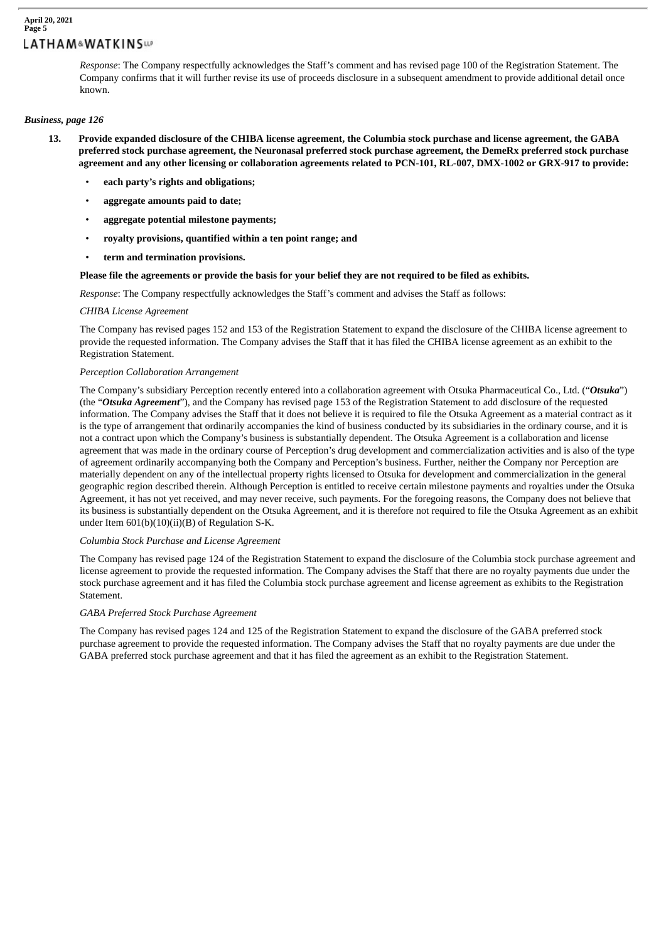*Response*: The Company respectfully acknowledges the Staff's comment and has revised page 100 of the Registration Statement. The Company confirms that it will further revise its use of proceeds disclosure in a subsequent amendment to provide additional detail once known.

# *Business, page 126*

- 13. Provide expanded disclosure of the CHIBA license agreement, the Columbia stock purchase and license agreement, the GABA preferred stock purchase agreement, the Neuronasal preferred stock purchase agreement, the DemeRx preferred stock purchase agreement and any other licensing or collaboration agreements related to PCN-101, RL-007, DMX-1002 or GRX-917 to provide:
	- **each party's rights and obligations;**
	- **aggregate amounts paid to date;**
	- **aggregate potential milestone payments;**
	- **royalty provisions, quantified within a ten point range; and**
	- **term and termination provisions.**

#### Please file the agreements or provide the basis for your belief they are not required to be filed as exhibits.

*Response*: The Company respectfully acknowledges the Staff's comment and advises the Staff as follows:

#### *CHIBA License Agreement*

The Company has revised pages 152 and 153 of the Registration Statement to expand the disclosure of the CHIBA license agreement to provide the requested information. The Company advises the Staff that it has filed the CHIBA license agreement as an exhibit to the Registration Statement.

#### *Perception Collaboration Arrangement*

The Company's subsidiary Perception recently entered into a collaboration agreement with Otsuka Pharmaceutical Co., Ltd. ("*Otsuka*") (the "*Otsuka Agreement*"), and the Company has revised page 153 of the Registration Statement to add disclosure of the requested information. The Company advises the Staff that it does not believe it is required to file the Otsuka Agreement as a material contract as it is the type of arrangement that ordinarily accompanies the kind of business conducted by its subsidiaries in the ordinary course, and it is not a contract upon which the Company's business is substantially dependent. The Otsuka Agreement is a collaboration and license agreement that was made in the ordinary course of Perception's drug development and commercialization activities and is also of the type of agreement ordinarily accompanying both the Company and Perception's business. Further, neither the Company nor Perception are materially dependent on any of the intellectual property rights licensed to Otsuka for development and commercialization in the general geographic region described therein. Although Perception is entitled to receive certain milestone payments and royalties under the Otsuka Agreement, it has not yet received, and may never receive, such payments. For the foregoing reasons, the Company does not believe that its business is substantially dependent on the Otsuka Agreement, and it is therefore not required to file the Otsuka Agreement as an exhibit under Item 601(b)(10)(ii)(B) of Regulation S-K.

#### *Columbia Stock Purchase and License Agreement*

The Company has revised page 124 of the Registration Statement to expand the disclosure of the Columbia stock purchase agreement and license agreement to provide the requested information. The Company advises the Staff that there are no royalty payments due under the stock purchase agreement and it has filed the Columbia stock purchase agreement and license agreement as exhibits to the Registration Statement.

#### *GABA Preferred Stock Purchase Agreement*

The Company has revised pages 124 and 125 of the Registration Statement to expand the disclosure of the GABA preferred stock purchase agreement to provide the requested information. The Company advises the Staff that no royalty payments are due under the GABA preferred stock purchase agreement and that it has filed the agreement as an exhibit to the Registration Statement.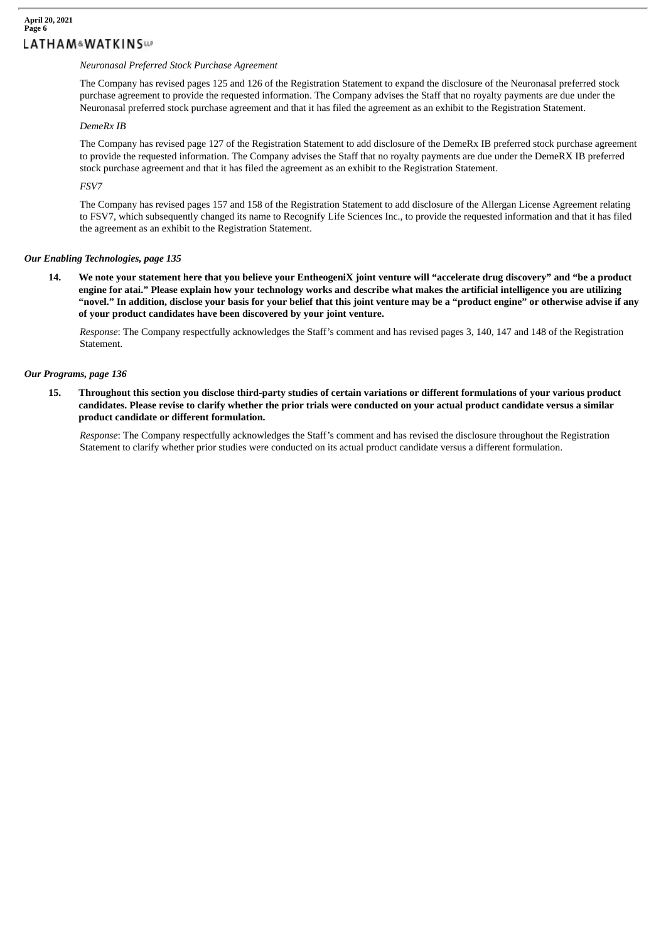# **April 20, 2021 Page 6 LATHAM&WATKINSup**

## *Neuronasal Preferred Stock Purchase Agreement*

The Company has revised pages 125 and 126 of the Registration Statement to expand the disclosure of the Neuronasal preferred stock purchase agreement to provide the requested information. The Company advises the Staff that no royalty payments are due under the Neuronasal preferred stock purchase agreement and that it has filed the agreement as an exhibit to the Registration Statement.

#### *DemeRx IB*

The Company has revised page 127 of the Registration Statement to add disclosure of the DemeRx IB preferred stock purchase agreement to provide the requested information. The Company advises the Staff that no royalty payments are due under the DemeRX IB preferred stock purchase agreement and that it has filed the agreement as an exhibit to the Registration Statement.

## *FSV7*

The Company has revised pages 157 and 158 of the Registration Statement to add disclosure of the Allergan License Agreement relating to FSV7, which subsequently changed its name to Recognify Life Sciences Inc., to provide the requested information and that it has filed the agreement as an exhibit to the Registration Statement.

# *Our Enabling Technologies, page 135*

14. We note your statement here that you believe your EntheogeniX joint venture will "accelerate drug discovery" and "be a product engine for atai." Please explain how your technology works and describe what makes the artificial intelligence you are utilizing "novel." In addition, disclose your basis for your belief that this joint venture may be a "product engine" or otherwise advise if any **of your product candidates have been discovered by your joint venture.**

*Response*: The Company respectfully acknowledges the Staff's comment and has revised pages 3, 140, 147 and 148 of the Registration **Statement** 

#### *Our Programs, page 136*

15. Throughout this section you disclose third-party studies of certain variations or different formulations of your various product candidates. Please revise to clarify whether the prior trials were conducted on your actual product candidate versus a similar **product candidate or different formulation.**

*Response*: The Company respectfully acknowledges the Staff's comment and has revised the disclosure throughout the Registration Statement to clarify whether prior studies were conducted on its actual product candidate versus a different formulation.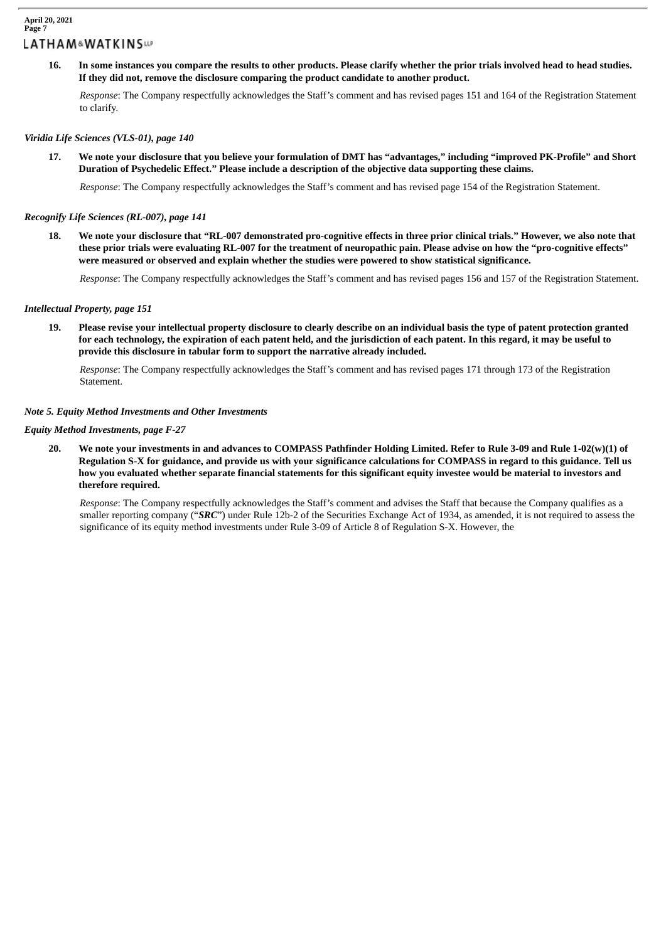#### **April 20, 2021 Page 7 LATHAM&WATKINSLIP**

16. In some instances you compare the results to other products. Please clarify whether the prior trials involved head to head studies. **If they did not, remove the disclosure comparing the product candidate to another product.**

*Response*: The Company respectfully acknowledges the Staff's comment and has revised pages 151 and 164 of the Registration Statement to clarify.

## *Viridia Life Sciences (VLS-01), page 140*

17. We note your disclosure that you believe your formulation of DMT has "advantages," including "improved PK-Profile" and Short **Duration of Psychedelic Effect." Please include a description of the objective data supporting these claims.**

*Response*: The Company respectfully acknowledges the Staff's comment and has revised page 154 of the Registration Statement.

#### *Recognify Life Sciences (RL-007), page 141*

18. We note your disclosure that "RL-007 demonstrated pro-cognitive effects in three prior clinical trials." However, we also note that these prior trials were evaluating RL-007 for the treatment of neuropathic pain. Please advise on how the "pro-cognitive effects" **were measured or observed and explain whether the studies were powered to show statistical significance.**

*Response*: The Company respectfully acknowledges the Staff's comment and has revised pages 156 and 157 of the Registration Statement.

#### *Intellectual Property, page 151*

19. Please revise your intellectual property disclosure to clearly describe on an individual basis the type of patent protection granted for each technology, the expiration of each patent held, and the jurisdiction of each patent. In this regard, it may be useful to **provide this disclosure in tabular form to support the narrative already included.**

*Response*: The Company respectfully acknowledges the Staff's comment and has revised pages 171 through 173 of the Registration Statement.

#### *Note 5. Equity Method Investments and Other Investments*

#### *Equity Method Investments, page F-27*

20. We note your investments in and advances to COMPASS Pathfinder Holding Limited. Refer to Rule 3-09 and Rule 1-02(w)(1) of Regulation S-X for guidance, and provide us with your significance calculations for COMPASS in regard to this guidance. Tell us how you evaluated whether separate financial statements for this significant equity investee would be material to investors and **therefore required.**

*Response*: The Company respectfully acknowledges the Staff's comment and advises the Staff that because the Company qualifies as a smaller reporting company ("*SRC*") under Rule 12b-2 of the Securities Exchange Act of 1934, as amended, it is not required to assess the significance of its equity method investments under Rule 3-09 of Article 8 of Regulation S-X. However, the